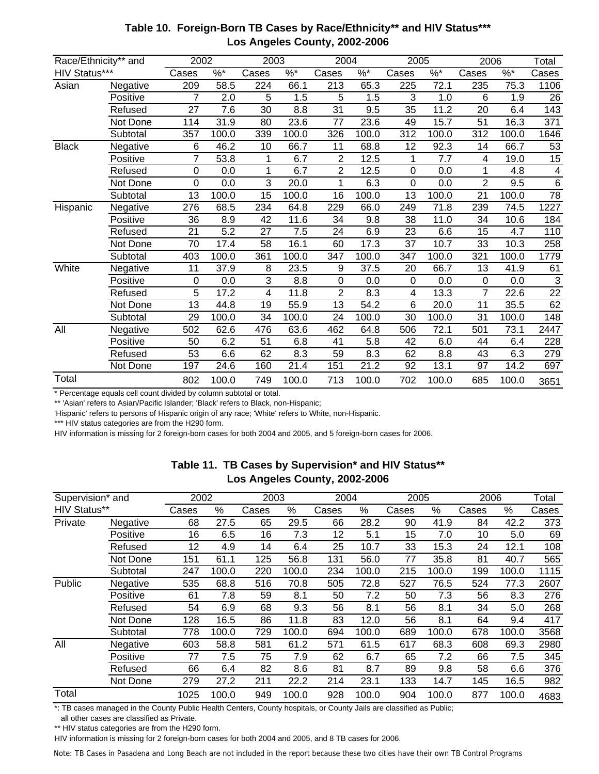| Race/Ethnicity** and |          | 2002           |                     | 2003  |          | 2004            |           | 2005        |           | 2006              |       | Total           |
|----------------------|----------|----------------|---------------------|-------|----------|-----------------|-----------|-------------|-----------|-------------------|-------|-----------------|
| HIV Status***        |          | Cases          | $\overline{\%^{*}}$ | Cases | $\%$ $*$ | Cases           | $\% ^{*}$ | Cases       | $\% ^{*}$ | $\%$ $*$<br>Cases |       | Cases           |
| Asian                | Negative | 209            | 58.5                | 224   | 66.1     | 213             | 65.3      | 225         | 72.1      | 235               | 75.3  | 1106            |
|                      | Positive | 7              | 2.0                 | 5     | 1.5      | 5               | 1.5       | 3           | 1.0       | 6                 | 1.9   | 26              |
|                      | Refused  | 27             | 7.6                 | 30    | 8.8      | 31              | 9.5       | 35          | 11.2      | 20                | 6.4   | 143             |
|                      | Not Done | 114            | 31.9                | 80    | 23.6     | $\overline{77}$ | 23.6      | 49          | 15.7      | 51                | 16.3  | 371             |
|                      | Subtotal | 357            | 100.0               | 339   | 100.0    | 326             | 100.0     | 312         | 100.0     | 312               | 100.0 | 1646            |
| <b>Black</b>         | Negative | 6              | 46.2                | 10    | 66.7     | 11              | 68.8      | 12          | 92.3      | 14                | 66.7  | 53              |
|                      | Positive | $\overline{7}$ | 53.8                | 1     | 6.7      | $\overline{2}$  | 12.5      | 1           | 7.7       | 4                 | 19.0  | $\overline{15}$ |
|                      | Refused  | 0              | 0.0                 | 1     | 6.7      | $\overline{2}$  | 12.5      | $\mathbf 0$ | 0.0       | 1                 | 4.8   | 4               |
|                      | Not Done | 0              | 0.0                 | 3     | 20.0     | 1               | 6.3       | $\Omega$    | 0.0       | $\overline{2}$    | 9.5   | 6               |
|                      | Subtotal | 13             | 100.0               | 15    | 100.0    | 16              | 100.0     | 13          | 100.0     | 21                | 100.0 | $\overline{78}$ |
| Hispanic             | Negative | 276            | 68.5                | 234   | 64.8     | 229             | 66.0      | 249         | 71.8      | 239               | 74.5  | 1227            |
|                      | Positive | 36             | 8.9                 | 42    | 11.6     | 34              | 9.8       | 38          | 11.0      | 34                | 10.6  | 184             |
|                      | Refused  | 21             | 5.2                 | 27    | 7.5      | 24              | 6.9       | 23          | 6.6       | 15                | 4.7   | 110             |
|                      | Not Done | 70             | 17.4                | 58    | 16.1     | 60              | 17.3      | 37          | 10.7      | 33                | 10.3  | 258             |
|                      | Subtotal | 403            | 100.0               | 361   | 100.0    | 347             | 100.0     | 347         | 100.0     | 321               | 100.0 | 1779            |
| White                | Negative | 11             | 37.9                | 8     | 23.5     | 9               | 37.5      | 20          | 66.7      | 13                | 41.9  | 61              |
|                      | Positive | 0              | 0.0                 | 3     | 8.8      | 0               | 0.0       | $\Omega$    | 0.0       | $\mathbf 0$       | 0.0   | 3               |
|                      | Refused  | 5              | 17.2                | 4     | 11.8     | $\overline{2}$  | 8.3       | 4           | 13.3      | $\overline{7}$    | 22.6  | $\overline{22}$ |
|                      | Not Done | 13             | 44.8                | 19    | 55.9     | 13              | 54.2      | 6           | 20.0      | 11                | 35.5  | 62              |
|                      | Subtotal | 29             | 100.0               | 34    | 100.0    | 24              | 100.0     | 30          | 100.0     | 31                | 100.0 | 148             |
| All                  | Negative | 502            | 62.6                | 476   | 63.6     | 462             | 64.8      | 506         | 72.1      | 501               | 73.1  | 2447            |
|                      | Positive | 50             | 6.2                 | 51    | 6.8      | 41              | 5.8       | 42          | 6.0       | 44                | 6.4   | 228             |
|                      | Refused  | 53             | 6.6                 | 62    | 8.3      | 59              | 8.3       | 62          | 8.8       | 43                | 6.3   | 279             |
|                      | Not Done | 197            | 24.6                | 160   | 21.4     | 151             | 21.2      | 92          | 13.1      | 97                | 14.2  | 697             |
| Total                |          | 802            | 100.0               | 749   | 100.0    | 713             | 100.0     | 702         | 100.0     | 685               | 100.0 | 3651            |

## **Table 10. Foreign-Born TB Cases by Race/Ethnicity\*\* and HIV Status\*\*\* Los Angeles County, 2002-2006**

\* Percentage equals cell count divided by column subtotal or total.

\*\* 'Asian' refers to Asian/Pacific Islander; 'Black' refers to Black, non-Hispanic;

'Hispanic' refers to persons of Hispanic origin of any race; 'White' refers to White, non-Hispanic.

\*\*\* HIV status categories are from the H290 form.

HIV information is missing for 2 foreign-born cases for both 2004 and 2005, and 5 foreign-born cases for 2006.

|                  |          |       |       |       |       | . .   |       |       |       |       |       |       |
|------------------|----------|-------|-------|-------|-------|-------|-------|-------|-------|-------|-------|-------|
| Supervision* and |          | 2002  |       | 2003  |       | 2004  |       | 2005  |       | 2006  |       | Total |
| HIV Status**     |          | Cases | %     | Cases | %     | Cases | $\%$  | Cases | $\%$  | Cases | %     | Cases |
| Private          | Negative | 68    | 27.5  | 65    | 29.5  | 66    | 28.2  | 90    | 41.9  | 84    | 42.2  | 373   |
|                  | Positive | 16    | 6.5   | 16    | 7.3   | 12    | 5.1   | 15    | 7.0   | 10    | 5.0   | 69    |
|                  | Refused  | 12    | 4.9   | 14    | 6.4   | 25    | 10.7  | 33    | 15.3  | 24    | 12.1  | 108   |
|                  | Not Done | 151   | 61.1  | 125   | 56.8  | 131   | 56.0  | 77    | 35.8  | 81    | 40.7  | 565   |
|                  | Subtotal | 247   | 100.0 | 220   | 100.0 | 234   | 100.0 | 215   | 100.0 | 199   | 100.0 | 1115  |
| Public           | Negative | 535   | 68.8  | 516   | 70.8  | 505   | 72.8  | 527   | 76.5  | 524   | 77.3  | 2607  |
|                  | Positive | 61    | 7.8   | 59    | 8.1   | 50    | 7.2   | 50    | 7.3   | 56    | 8.3   | 276   |
|                  | Refused  | 54    | 6.9   | 68    | 9.3   | 56    | 8.1   | 56    | 8.1   | 34    | 5.0   | 268   |
|                  | Not Done | 128   | 16.5  | 86    | 11.8  | 83    | 12.0  | 56    | 8.1   | 64    | 9.4   | 417   |
|                  | Subtotal | 778   | 100.0 | 729   | 100.0 | 694   | 100.0 | 689   | 100.0 | 678   | 100.0 | 3568  |
| All              | Negative | 603   | 58.8  | 581   | 61.2  | 571   | 61.5  | 617   | 68.3  | 608   | 69.3  | 2980  |
|                  | Positive | 77    | 7.5   | 75    | 7.9   | 62    | 6.7   | 65    | 7.2   | 66    | 7.5   | 345   |
|                  | Refused  | 66    | 6.4   | 82    | 8.6   | 81    | 8.7   | 89    | 9.8   | 58    | 6.6   | 376   |
|                  | Not Done | 279   | 27.2  | 211   | 22.2  | 214   | 23.1  | 133   | 14.7  | 145   | 16.5  | 982   |
| Total            |          | 1025  | 100.0 | 949   | 100.0 | 928   | 100.0 | 904   | 100.0 | 877   | 100.0 | 4683  |

## **Table 11. TB Cases by Supervision\* and HIV Status\*\* Los Angeles County, 2002-2006**

\*: TB cases managed in the County Public Health Centers, County hospitals, or County Jails are classified as Public;

all other cases are classified as Private.

\*\* HIV status categories are from the H290 form.

HIV information is missing for 2 foreign-born cases for both 2004 and 2005, and 8 TB cases for 2006.

Note: TB Cases in Pasadena and Long Beach are not included in the report because these two cities have their own TB Control Programs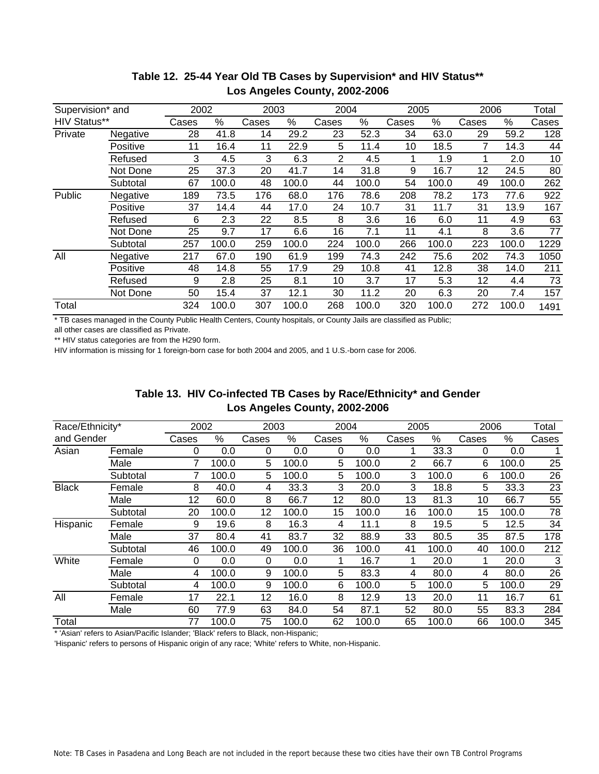| Supervision* and |          |       | 2002<br>2003 |       | 2004  |                | 2005  |       | 2006  |       | Total |       |
|------------------|----------|-------|--------------|-------|-------|----------------|-------|-------|-------|-------|-------|-------|
| HIV Status**     |          | Cases | %            | Cases | %     | Cases          | $\%$  | Cases | %     | Cases | %     | Cases |
| Private          | Negative | 28    | 41.8         | 14    | 29.2  | 23             | 52.3  | 34    | 63.0  | 29    | 59.2  | 128   |
|                  | Positive | 11    | 16.4         | 11    | 22.9  | 5              | 11.4  | 10    | 18.5  |       | 14.3  | 44    |
|                  | Refused  | 3     | 4.5          | 3     | 6.3   | $\overline{2}$ | 4.5   |       | 1.9   |       | 2.0   | 10    |
|                  | Not Done | 25    | 37.3         | 20    | 41.7  | 14             | 31.8  | 9     | 16.7  | 12    | 24.5  | 80    |
|                  | Subtotal | 67    | 100.0        | 48    | 100.0 | 44             | 100.0 | 54    | 100.0 | 49    | 100.0 | 262   |
| Public           | Negative | 189   | 73.5         | 176   | 68.0  | 176            | 78.6  | 208   | 78.2  | 173   | 77.6  | 922   |
|                  | Positive | 37    | 14.4         | 44    | 17.0  | 24             | 10.7  | 31    | 11.7  | 31    | 13.9  | 167   |
|                  | Refused  | 6     | 2.3          | 22    | 8.5   | 8              | 3.6   | 16    | 6.0   | 11    | 4.9   | 63    |
|                  | Not Done | 25    | 9.7          | 17    | 6.6   | 16             | 7.1   | 11    | 4.1   | 8     | 3.6   | 77    |
|                  | Subtotal | 257   | 100.0        | 259   | 100.0 | 224            | 100.0 | 266   | 100.0 | 223   | 100.0 | 1229  |
| All              | Negative | 217   | 67.0         | 190   | 61.9  | 199            | 74.3  | 242   | 75.6  | 202   | 74.3  | 1050  |
|                  | Positive | 48    | 14.8         | 55    | 17.9  | 29             | 10.8  | 41    | 12.8  | 38    | 14.0  | 211   |
|                  | Refused  | 9     | 2.8          | 25    | 8.1   | 10             | 3.7   | 17    | 5.3   | 12    | 4.4   | 73    |
|                  | Not Done | 50    | 15.4         | 37    | 12.1  | 30             | 11.2  | 20    | 6.3   | 20    | 7.4   | 157   |
| Total            |          | 324   | 100.0        | 307   | 100.0 | 268            | 100.0 | 320   | 100.0 | 272   | 100.0 | 1491  |

## **Table 12. 25-44 Year Old TB Cases by Supervision\* and HIV Status\*\* Los Angeles County, 2002-2006**

\* TB cases managed in the County Public Health Centers, County hospitals, or County Jails are classified as Public;

all other cases are classified as Private.

\*\* HIV status categories are from the H290 form.

HIV information is missing for 1 foreign-born case for both 2004 and 2005, and 1 U.S.-born case for 2006.

| Table 13. HIV Co-infected TB Cases by Race/Ethnicity* and Gender |
|------------------------------------------------------------------|
| Los Angeles County, 2002-2006                                    |

| Race/Ethnicity* |          | 2002<br>2003 |       |       | 2004  |       | 2005  |       | 2006  |       | Total |       |
|-----------------|----------|--------------|-------|-------|-------|-------|-------|-------|-------|-------|-------|-------|
| and Gender      |          | Cases        | %     | Cases | %     | Cases | %     | Cases | %     | Cases | %     | Cases |
| Asian           | Female   | 0            | 0.0   | 0     | 0.0   | 0     | 0.0   |       | 33.3  | 0     | 0.0   |       |
|                 | Male     |              | 100.0 | 5     | 100.0 | 5     | 100.0 | 2     | 66.7  | 6     | 100.0 | 25    |
|                 | Subtotal |              | 100.0 | 5     | 100.0 | 5.    | 100.0 | 3     | 100.0 | 6     | 100.0 | 26    |
| <b>Black</b>    | Female   | 8            | 40.0  | 4     | 33.3  | 3     | 20.0  | 3     | 18.8  | 5     | 33.3  | 23    |
|                 | Male     | 12           | 60.0  | 8     | 66.7  | 12    | 80.0  | 13    | 81.3  | 10    | 66.7  | 55    |
|                 | Subtotal | 20           | 100.0 | 12    | 100.0 | 15    | 100.0 | 16    | 100.0 | 15    | 100.0 | 78    |
| Hispanic        | Female   | 9            | 19.6  | 8     | 16.3  | 4     | 11.1  | 8     | 19.5  | 5     | 12.5  | 34    |
|                 | Male     | 37           | 80.4  | 41    | 83.7  | 32    | 88.9  | 33    | 80.5  | 35    | 87.5  | 178   |
|                 | Subtotal | 46           | 100.0 | 49    | 100.0 | 36    | 100.0 | 41    | 100.0 | 40    | 100.0 | 212   |
| White           | Female   | 0            | 0.0   | 0     | 0.0   | 1     | 16.7  | 1     | 20.0  |       | 20.0  | 3     |
|                 | Male     | 4            | 100.0 | 9     | 100.0 | 5     | 83.3  | 4     | 80.0  | 4     | 80.0  | 26    |
|                 | Subtotal | 4            | 100.0 | 9     | 100.0 | 6     | 100.0 | 5     | 100.0 | 5     | 100.0 | 29    |
| All             | Female   | 17           | 22.1  | 12    | 16.0  | 8     | 12.9  | 13    | 20.0  | 11    | 16.7  | 61    |
|                 | Male     | 60           | 77.9  | 63    | 84.0  | 54    | 87.1  | 52    | 80.0  | 55    | 83.3  | 284   |
| Total           |          | 77           | 100.0 | 75    | 100.0 | 62    | 100.0 | 65    | 100.0 | 66    | 100.0 | 345   |

\* 'Asian' refers to Asian/Pacific Islander; 'Black' refers to Black, non-Hispanic;

'Hispanic' refers to persons of Hispanic origin of any race; 'White' refers to White, non-Hispanic.